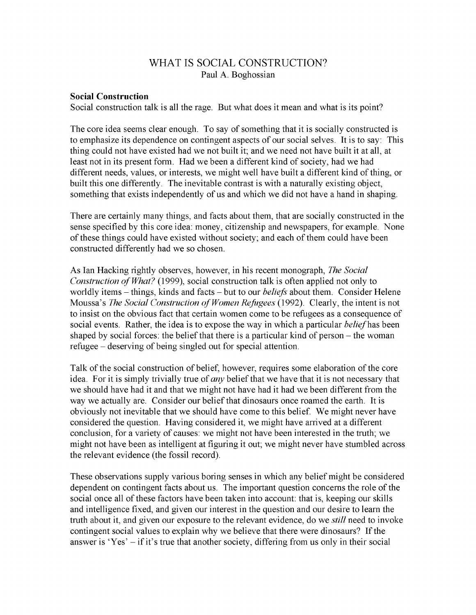## WHAT IS SOCIAL CONSTRUCTION? WHAT IS SOCIAL CONSTRUCTION? Paul A. Boghossian

### **Social Construction** Social Construction

Social construction talk is all the rage. But what does it mean and what is its point? Social construction talk is all the boord construction tank is an the i

The core idea seems clear enough. To say of something that it is socially constructed is to emphasize its dependence on contingent aspects of our social selves. It is to say: This thing could not have existed had we not built it; and we need not have built it at all, at least not in its present form. Had we been a different kind of society, had we had different needs, values, or interests, we might well have built a different kind of thing, or built this one differently. The inevitable contrast is with a naturally existing object, something that exists independently of us and which we did not have a hand in shaping.

There are certainly many things, and facts about them, that are socially constructed in the sense specified by this core idea: money, citizenship and newspapers, for example. None of these things could have existed without society; and each of them could have been constructed differently had we so chosen.

As Ian Hacking rightly observes, however, in his recent monograph, *The Social Construction of What?* (1999), social construction talk is often applied not only to worldly items – things, kinds and facts – but to our *beliefs* about them. Consider Helene Moussa's *The Social Construction ofWomen Refugees* (1992). Clearly, the intent is not to insist on the obvious fact that certain women come to be refugees as a consequence of social events. Rather, the idea is to expose the way in which a particular *belief*has been shaped by social forces: the belief that there is a particular kind of person  $-$  the woman refugee - deserving of being singled out for special attention.

Talk of the social construction of belief, however, requires some elaboration of the core idea. For it is simply trivially true of *any* belief that we have that it is not necessary that we should have had it and that we might not have had it had we been different from the way we actually are. Consider our belief that dinosaurs once roamed the earth. It is obviously not inevitable that we should have come to this belief. We might never have considered the question. Having considered it, we might have arrived at a different conclusion, for a variety of causes: we might not have been interested in the truth; we might not have been as intelligent at figuring it out; we might never have stumbled across the relevant evidence (the fossil record).

These observations supply various boring senses in which any belief might be considered dependent on contingent facts about us. The important question concerns the role of the social once all of these factors have been taken into account: that is, keeping our skills and intelligence fixed, and given our interest in the question and our desire to learn the truth about it, and given our exposure to the relevant evidence, do we *still* need to invoke contingent social values to explain why we believe that there were dinosaurs? If the answer is 'Yes'  $-$  if it's true that another society, differing from us only in their social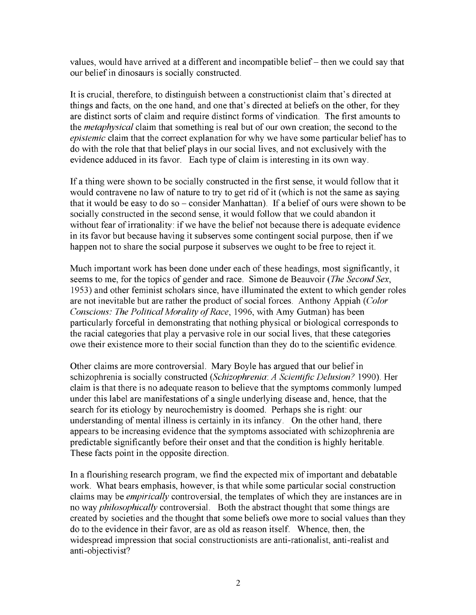values, would have arrived at a different and incompatible belief – then we could say that our belief in dinosaurs is socially constructed.

It is crucial, therefore, to distinguish between a constructionist claim that's directed at things and facts, on the one hand, and one that's directed at beliefs on the other, for they are distinct sorts of claim and require distinct forms of vindication. The first amounts to the *metaphysical* claim that something is real but of our own creation; the second to the *epistemic* claim that the correct explanation for why we have some particular belief has to do with the role that that belief plays in our social lives, and not exclusively with the evidence adduced in its favor. Each type of claim is interesting in its own way.

If a thing were shown to be socially constructed in the first sense, it would follow that it would contravene no law of nature to try to get rid of it (which is not the same as saying that it would be easy to do so – consider Manhattan). If a belief of ours were shown to be socially constructed in the second sense, it would follow that we could abandon it without fear of irrationality: if we have the belief not because there is adequate evidence in its favor but because having it subserves some contingent social purpose, then if we happen not to share the social purpose it subserves we ought to be free to reject it.

Much important work has been done under each of these headings, most significantly, it seems to me, for the topics of gender and race. Simone de Beauvoir (*The Second Sex*, 1953) and other feminist scholars since, have illuminated the extent to which gender roles are not inevitable but are rather the product of social forces. Anthony Appiah (*Color Conscious: The Political Morality of Race*, 1996, with Amy Gutman) has been particularly forceful in demonstrating that nothing physical or biological corresponds to the racial categories that play a pervasive role in our social lives, that these categories owe their existence more to their social function than they do to the scientific evidence.

Other claims are more controversial. Mary Boyle has argued that our belief in schizophrenia is socially constructed (*Schizophrenia*: *A Scientific Delusion?* 1990). Her claim is that there is no adequate reason to believe that the symptoms commonly lumped under this label are manifestations of a single underlying disease and, hence, that the search for its etiology by neurochemistry is doomed. Perhaps she is right: our understanding of mental illness is certainly in its infancy. On the other hand, there appears to be increasing evidence that the symptoms associated with schizophrenia are predictable significantly before their onset and that the condition is highly heritable. These facts point in the opposite direction.

In a flourishing research program, we find the expected mix of important and debatable work. What bears emphasis, however, is that while some particular social construction claims may be *empirically* controversial, the templates of which they are instances are in no way *philosophically* controversial. Both the abstract thought that some things are created by societies and the thought that some beliefs owe more to social values than they do to the evidence in their favor, are as old as reason itself. Whence, then, the widespread impression that social constructionists are anti-rationalist, anti-realist and anti-objectivist?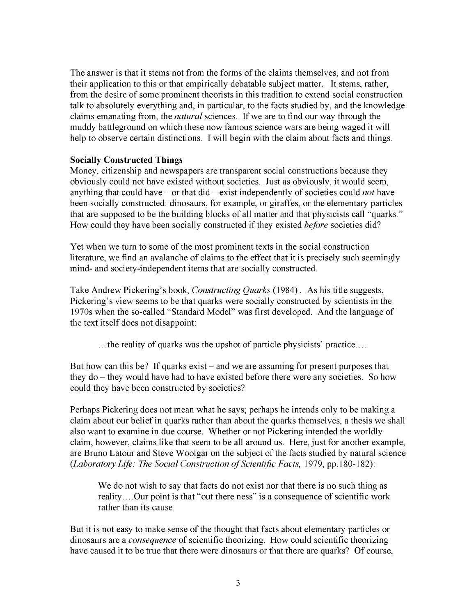The answer is that it stems not from the forms of the claims themselves, and not from their application to this or that empirically debatable subject matter. It stems, rather, from the desire of some prominent theorists in this tradition to extend social construction talk to absolutely everything and, in particular, to the facts studied by, and the knowledge claims emanating from, the *natural* sciences. If we are to find our way through the muddy battleground on which these now famous science wars are being waged it will help to observe certain distinctions. I will begin with the claim about facts and things.

### **Socially Constructed Things** Socially Constructed Things

Money, citizenship and newspapers are transparent social constructions because they obviously could not have existed without societies. Just as obviously, it would seem, anything that could have - or that did - exist independently of societies could *not* have been socially constructed: dinosaurs, for example, or giraffes, or the elementary particles that are supposed to be the building blocks of all matter and that physicists call "quarks." How could they have been socially constructed if they existed *before* societies did? anything that could have  $-$  or that  $\frac{1}{2}$  and  $\frac{1}{2}$  supposed to be the building

Yet when we turn to some of the most prominent texts in the social construction literature, we find an avalanche of claims to the effect that it is precisely such seemingly mind- and society-independent items that are socially constructed. is the when we turn to some of the physicial matter  $m<sub>1</sub>$  and society

Take Andrew Pickering's book, *Constructing Quarks* (1984) *.* As his title suggests, Pickering's view seems to be that quarks were socially constructed by scientists in the 1970s when the so-called "Standard Model" was first developed. And the language of the text itself does not disappoint:

.. .the reality of quarks was the upshot of particle physicists' practice....

But how can this be? If quarks exist  $-$  and we are assuming for present purposes that they do – they would have had to have existed before there were any societies. So how could they have been constructed by societies?

Perhaps Pickering does not mean what he says; perhaps he intends only to be making a claim about our beliefin quarks rather than about the quarks themselves, a thesis we shall also want to examine in due course. Whether or not Pickering intended the worldly claim, however, claims like that seem to be all around us. Here, just for another example, are Bruno Latour and Steve Woolgar on the subject of the facts studied by natural science (*Laboratory Life: The Social Construction of Scientific Facts,* 1979, pp.180-182):

We do not wish to say that facts do not exist nor that there is no such thing as reality....Our point is that "out there ness" is a consequence of scientific work rather than its cause.

But it is not easy to make sense of the thought that facts about elementary particles or dinosaurs are a *consequence* of scientific theorizing. How could scientific theorizing have caused it to be true that there were dinosaurs or that there are quarks? Of course,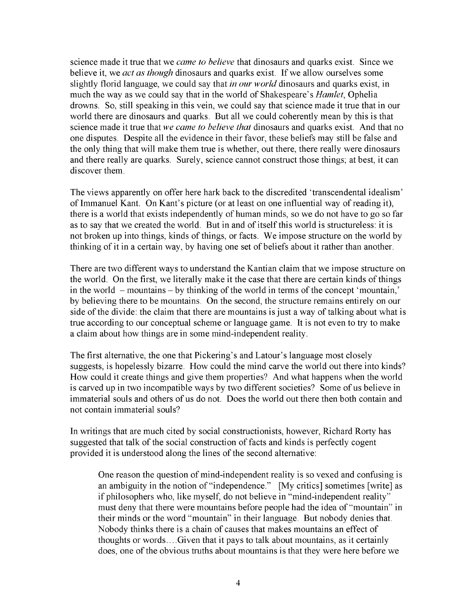science made it true that we *came to believe* that dinosaurs and quarks exist. Since we believe it, we *act as though* dinosaurs and quarks exist. If we allow ourselves some slightly florid language, we could say that *in our world* dinosaurs and quarks exist, in much the way as we could say that in the world of Shakespeare's *Hamlet*, Ophelia drowns. So, still speaking in this vein, we could say that science made it true that in our world there are dinosaurs and quarks. But all we could coherently mean by this is that science made it true that *we came to believe that* dinosaurs and quarks exist. And that no one disputes. Despite all the evidence in their favor, these beliefs may still be false and the only thing that will make them true is whether, out there, there really were dinosaurs and there really are quarks. Surely, science cannot construct those things; at best, it can discover them.

The views apparently on offer here hark back to the discredited 'transcendental idealism' of Immanuel Kant. On Kant's picture (or at least on one influential way of reading it), there is a world that exists independently of human minds, so we do not have to go so far as to say that we created the world. But in and of itself this world is structureless: it is not broken up into things, kinds of things, or facts. We impose structure on the world by thinking of it in a certain way, by having one set of beliefs about it rather than another.

There are two different ways to understand the Kantian claim that we impose structure on the world. On the first, we literally make it the case that there are certain kinds of things in the world  $-$  mountains  $-$  by thinking of the world in terms of the concept 'mountain,' by believing there to be mountains. On the second, the structure remains entirely on our side of the divide: the claim that there are mountains is just a way of talking about what is true according to our conceptual scheme or language game. It is not even to try to make a claim about how things are in some mind-independent reality.

The first alternative, the one that Pickering's and Latour's language most closely suggests, is hopelessly bizarre. How could the mind carve the world out there into kinds? How could it create things and give them properties? And what happens when the world is carved up in two incompatible ways by two different societies? Some of us believe in immaterial souls and others of us do not. Does the world out there then both contain and not contain immaterial souls?

In writings that are much cited by social constructionists, however, Richard Rorty has suggested that talk of the social construction of facts and kinds is perfectly cogent provided it is understood along the lines of the second alternative:

One reason the question of mind-independent reality is so vexed and confusing is an ambiguity in the notion of "independence." [My critics] sometimes [write] as if philosophers who, like myself, do not believe in "mind-independent reality" must deny that there were mountains before people had the idea of "mountain" in their minds or the word "mountain" in their language. But nobody denies that. Nobody thinks there is a chain of causes that makes mountains an effect of thoughts or words.. ..Given that it pays to talk about mountains, as it certainly does, one of the obvious truths about mountains is that they were here before we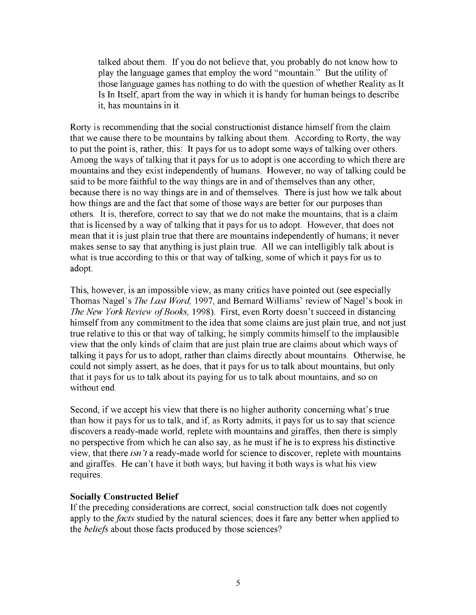talked about them. If you do not believe that, you probably do not know how to play the language games that employ the word "mountain." But the utility of those language games has nothing to do with the question of whether Reality as It Is In Itself, apart from the way in which it is handy for human beings to describe it, has mountains in it.

Rorty is recommending that the social constructionist distance himselffrom the claim that we cause there to be mountains by talking about them. According to Rorty, the way to put the point is, rather, this: It pays for us to adopt some ways of talking over others. Among the ways of talking that it pays for us to adopt is one according to which there are mountains and they exist independently of humans. However, no way of talking could be said to be more faithful to the way things are in and of themselves than any other, because there is no way things are in and of themselves. There is just how we talk about how things are and the fact that some of those ways are better for our purposes than others. It is, therefore, correct to say that we do not make the mountains; that is a claim that is licensed by a way of talking that it pays for us to adopt. However, that does not mean that it is just plain true that there are mountains independently of humans; it never makes sense to say that anything is just plain true. All we can intelligibly talk about is what is true according to this or that way of talking, some of which it pays for us to adopt.

This, however, is an impossible view, as many critics have pointed out (see especially Thomas Nagel's *The Last Word*, 1997, and Bernard Williams' review of Nagel's book in *The New York Review of Books,* 1998). First, even Rorty doesn't succeed in distancing himself from any commitment to the idea that some claims are just plain true, and not just true relative to this or that way of talking; he simply commits himself to the implausible view that the only kinds of claim that are just plain true are claims about which ways of talking it pays for us to adopt, rather than claims directly about mountains. Otherwise, he could not simply assert, as he does, that it pays for us to talk about mountains, but only that it pays for us to talk about its paying for us to talk about mountains, and so on without end.

Second, if we accept his view that there is no higher authority concerning what's true than how it pays for us to talk, and if, as Rorty admits, it pays for us to say that science discovers a ready-made world, replete with mountains and giraffes, then there is simply no perspective from which he can also say, as he must if he is to express his distinctive view, that there *isn't* a ready-made world for science to discover, replete with mountains and giraffes. He can't have it both ways; but having it both ways is what his view requires.

#### **Socially Constructed Belief** Socially Constructed Belief

If the preceding considerations are correct, social construction talk does not cogently apply to the *facts* studied by the natural sciences; does it fare any better when applied to the *beliefs* about those facts produced by those sciences? apply to the *facts* studied by the n  $\sum_{i=1}^{n}$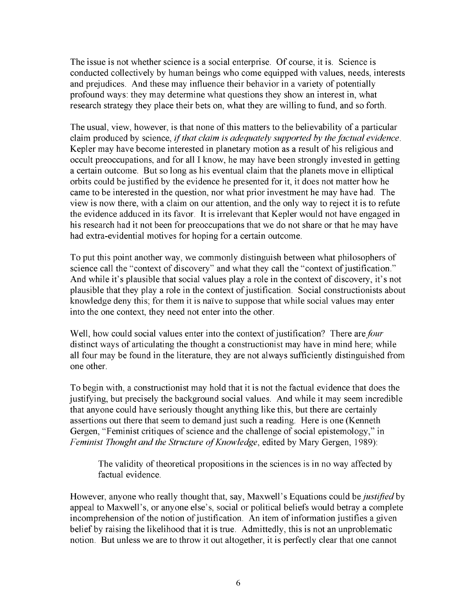The issue is not whether science is a social enterprise. Of course, it is. Science is conducted collectively by human beings who come equipped with values, needs, interests and prejudices. And these may influence their behavior in a variety of potentially profound ways: they may determine what questions they show an interest in, what research strategy they place their bets on, what they are willing to fund, and so forth.

The usual, view, however, is that none of this matters to the believability of a particular claim produced by science, *if that claim is adequately supported by the factual evidence*. Kepler may have become interested in planetary motion as a result of his religious and occult preoccupations, and for all I know, he may have been strongly invested in getting a certain outcome. But so long as his eventual claim that the planets move in elliptical orbits could be justified by the evidence he presented for it, it does not matter how he came to be interested in the question, nor what prior investment he may have had. The view is now there, with a claim on our attention, and the only way to reject it is to refute the evidence adduced in its favor. It is irrelevant that Kepler would not have engaged in his research had it not been for preoccupations that we do not share or that he may have had extra-evidential motives for hoping for a certain outcome.

To put this point another way, we commonly distinguish between what philosophers of science call the "context of discovery" and what they call the "context of justification." And while it's plausible that social values play a role in the context of discovery, it's not plausible that they play a role in the context of justification. Social constructionists about knowledge deny this; for them it is naive to suppose that while social values may enter into the one context, they need not enter into the other.

Well, how could social values enter into the context of justification? There are *four* distinct ways of articulating the thought a constructionist may have in mind here; while all four may be found in the literature, they are not always sufficiently distinguished from one other.

To begin with, a constructionist may hold that it is not the factual evidence that does the justifying, but precisely the background social values. And while it may seem incredible that anyone could have seriously thought anything like this, but there are certainly assertions out there that seem to demand just such a reading. Here is one (Kenneth Gergen, "Feminist critiques of science and the challenge of social epistemology," in *Feminist Thought and the Structure of Knowledge*, edited by Mary Gergen, 1989):

The validity of theoretical propositions in the sciences is in no way affected by factual evidence.

However, anyone who really thought that, say, Maxwell's Equations could be *justified* by appeal to Maxwell's, or anyone else's, social or political beliefs would betray a complete incomprehension of the notion of justification. An item of information justifies a given belief by raising the likelihood that it is true. Admittedly, this is not an unproblematic notion. But unless we are to throw it out altogether, it is perfectly clear that one cannot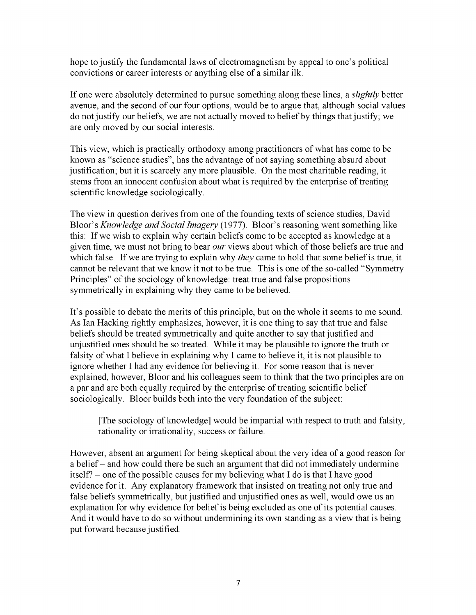hope to justify the fundamental laws of electromagnetism by appeal to one's political convictions or career interests or anything else of a similar ilk.

If one were absolutely determined to pursue something along these lines, a *slightly* better avenue, and the second of our four options, would be to argue that, although social values do not justify our beliefs, we are not actually moved to belief by things that justify; we are only moved by our social interests.

This view, which is practically orthodoxy among practitioners of what has come to be known as "science studies", has the advantage of not saying something absurd about justification; but it is scarcely any more plausible. On the most charitable reading, it stems from an innocent confusion about what is required by the enterprise of treating scientific knowledge sociologically.

The view in question derives from one of the founding texts of science studies, David Bloor's *Knowledge and Social Imagery* (1977). Bloor's reasoning went something like this: If we wish to explain why certain beliefs come to be accepted as knowledge at a given time, we must not bring to bear *our* views about which of those beliefs are true and which false. If we are trying to explain why *they* came to hold that some belief is true, it cannot be relevant that we know it not to be true. This is one of the so-called "Symmetry Principles" of the sociology of knowledge: treat true and false propositions symmetrically in explaining why they came to be believed.

It's possible to debate the merits of this principle, but on the whole it seems to me sound. As Ian Hacking rightly emphasizes, however, it is one thing to say that true and false beliefs should be treated symmetrically and quite another to say that justified and unjustified ones should be so treated. While it may be plausible to ignore the truth or falsity of what I believe in explaining why I came to believe it, it is not plausible to ignore whether I had any evidence for believing it. For some reason that is never explained, however, Bloor and his colleagues seem to think that the two principles are on a par and are both equally required by the enterprise of treating scientific belief sociologically. Bloor builds both into the very foundation of the subject:

[The sociology of knowledge] would be impartial with respect to truth and falsity, rationality or irrationality, success or failure.

However, absent an argument for being skeptical about the very idea of a good reason for <sup>a</sup> belief- and how could there be such an argument that did not immediately undermine itself?  $-$  one of the possible causes for my believing what I do is that I have good evidence for it. Any explanatory framework that insisted on treating not only true and false beliefs symmetrically, but justified and unjustified ones as well, would owe us an explanation for why evidence for belief is being excluded as one of its potential causes. And it would have to do so without undermining its own standing as a view that is being put forward because justified.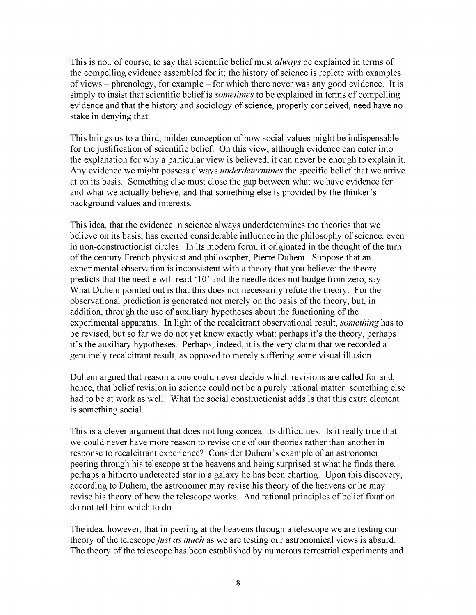This is not, of course, to say that scientific belief must *always* be explained in terms of the compelling evidence assembled for it; the history of science is replete with examples of views – phrenology, for example – for which there never was any good evidence. It is simply to insist that scientific belief is *sometimes* to be explained in terms of compelling evidence and that the history and sociology of science, properly conceived, need have no stake in denying that.

This brings us to a third, milder conception of how social values might be indispensable for the justification of scientific belief. On this view, although evidence can enter into the explanation for why a particular view is believed, it can never be enough to explain it. Any evidence we might possess always *underdetermines* the specific belief that we arrive at on its basis. Something else must close the gap between what we have evidence for and what we actually believe, and that something else is provided by the thinker's background values and interests.

This idea, that the evidence in science always underdetermines the theories that we believe on its basis, has exerted considerable influence in the philosophy of science, even in non-constructionist circles. In its modern form, it originated in the thought of the turn of the century French physicist and philosopher, Pierre Duhem. Suppose that an experimental observation is inconsistent with a theory that you believe: the theory predicts that the needle will read '10' and the needle does not budge from zero, say. What Duhem pointed out is that this does not necessarily refute the theory. For the observational prediction is generated not merely on the basis of the theory, but, in addition, through the use of auxiliary hypotheses about the functioning of the experimental apparatus. In light of the recalcitrant observational result, *something* has to be revised, but so far we do not yet know exactly what: perhaps it's the theory, perhaps it's the auxiliary hypotheses. Perhaps, indeed, it is the very claim that we recorded a genuinely recalcitrant result, as opposed to merely suffering some visual illusion.

Duhem argued that reason alone could never decide which revisions are called for and, hence, that belief revision in science could not be a purely rational matter: something else had to be at work as well. What the social constructionist adds is that this extra element is something social.

This is a clever argument that does not long conceal its difficulties. Is it really true that we could never have more reason to revise one of our theories rather than another in response to recalcitrant experience? Consider Duhem's example of an astronomer peering through his telescope at the heavens and being surprised at what he finds there, perhaps a hitherto undetected star in a galaxy he has been charting. Upon this discovery, according to Duhem, the astronomer may revise his theory of the heavens or he may revise his theory of how the telescope works. And rational principles of belief fixation do not tell him which to do.

The idea, however, that in peering at the heavens through a telescope we are testing our theory of the telescope *just as much* as we are testing our astronomical views is absurd. The theory of the telescope has been established by numerous terrestrial experiments and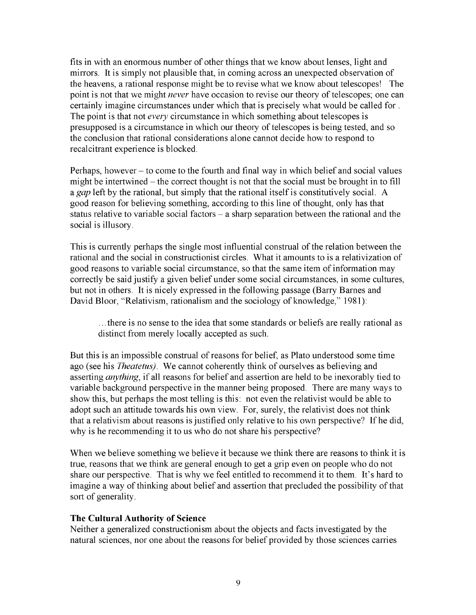fits in with an enormous number of other things that we know about lenses, light and mirrors. It is simply not plausible that, in coming across an unexpected observation of the heavens, a rational response might be to revise what we know about telescopes! The point is not that we might *never* have occasion to revise our theory of telescopes; one can certainly imagine circumstances under which that is precisely what would be called for . The point is that not *every* circumstance in which something about telescopes is presupposed is a circumstance in which our theory of telescopes is being tested, and so the conclusion that rational considerations alone cannot decide how to respond to recalcitrant experience is blocked.

Perhaps, however - to come to the fourth and final way in which belief and social values might be intertwined – the correct thought is not that the social must be brought in to fill a *gap* left by the rational, but simply that the rational itself is constitutively social. A good reason for believing something, according to this line of thought, only has that status relative to variable social factors  $-$  a sharp separation between the rational and the social is illusory.

This is currently perhaps the single most influential construal of the relation between the rational and the social in constructionist circles. What it amounts to is a relativization of good reasons to variable social circumstance, so that the same item ofinformation may correctly be said justify a given belief under some social circumstances, in some cultures, but not in others. It is nicely expressed in the following passage (Barry Barnes and David Bloor, "Relativism, rationalism and the sociology of knowledge," 1981):

... there is no sense to the idea that some standards or beliefs are really rational as distinct from merely locally accepted as such.

But this is an impossible construal of reasons for belief, as Plato understood some time ago (see his *Theatetus)*. We cannot coherently think of ourselves as believing and asserting *anything*, if all reasons for belief and assertion are held to be inexorably tied to variable background perspective in the manner being proposed. There are many ways to show this, but perhaps the most telling is this: not even the relativist would be able to adopt such an attitude towards his own view. For, surely, the relativist does not think that a relativism about reasons is justified only relative to his own perspective? If he did, why is he recommending it to us who do not share his perspective?

When we believe something we believe it because we think there are reasons to think it is true, reasons that we think are general enough to get a grip even on people who do not share our perspective. That is why we feel entitled to recommend it to them. It's hard to imagine a way of thinking about belief and assertion that precluded the possibility of that sort of generality.

# **The Cultural Authority of Science** The Cultural Authority of Science

Neither a generalized constructionism about the objects and facts investigated by the Neither a generalized constructionism natural sciences, nor one about the reasons for belief provided by those sciences carries refuner a generalized constructions the reasons for belief provided by those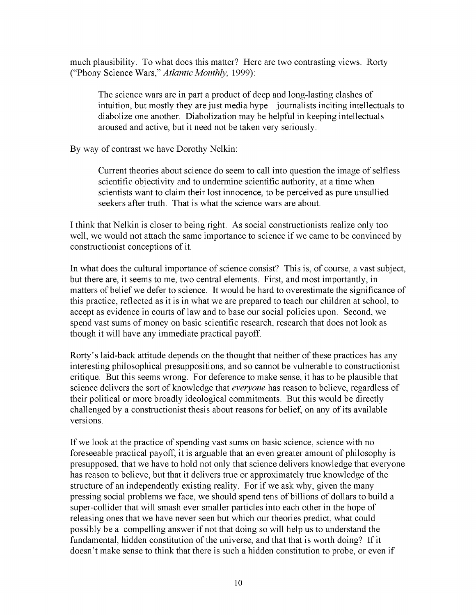much plausibility. To what does this matter? Here are two contrasting views. Rorty ("Phony Science Wars," *Atlantic Monthly,* 1999):

The science wars are in part a product of deep and long-lasting clashes of intuition, but mostly they are just media hype – journalists inciting intellectuals to diabolize one another. Diabolization may be helpful in keeping intellectuals aroused and active, but it need not be taken very seriously.

By way of contrast we have Dorothy Nelkin:

Current theories about science do seem to call into question the image of selfless scientific objectivity and to undermine scientific authority, at a time when scientists want to claim their lost innocence, to be perceived as pure unsullied seekers after truth. That is what the science wars are about.

I think that Nelkin is closer to being right. As social constructionists realize only too well, we would not attach the same importance to science if we came to be convinced by constructionist conceptions of it.

In what does the cultural importance of science consist? This is, of course, a vast subject, but there are, it seems to me, two central elements. First, and most importantly, in matters of belief we defer to science. It would be hard to overestimate the significance of this practice, reflected as it is in what we are prepared to teach our children at school, to accept as evidence in courts of law and to base our social policies upon. Second, we spend vast sums of money on basic scientific research, research that does not look as though it will have any immediate practical payoff.

Rorty's laid-back attitude depends on the thought that neither of these practices has any interesting philosophical presuppositions, and so cannot be vulnerable to constructionist critique. But this seems wrong. For deference to make sense, it has to be plausible that science delivers the sort of knowledge that *everyone* has reason to believe, regardless of their political or more broadly ideological commitments. But this would be directly challenged by a constructionist thesis about reasons for belief, on any of its available versions.

If we look at the practice of spending vast sums on basic science, science with no foreseeable practical payoff, it is arguable that an even greater amount of philosophy is presupposed, that we have to hold not only that science delivers knowledge that everyone has reason to believe, but that it delivers true or approximately true knowledge of the structure of an independently existing reality. For if we ask why, given the many pressing social problems we face, we should spend tens of billions of dollars to build a super-collider that will smash ever smaller particles into each other in the hope of releasing ones that we have never seen but which our theories predict, what could possibly be a compelling answer if not that doing so will help us to understand the fundamental, hidden constitution of the universe, and that that is worth doing? If it doesn't make sense to think that there is such a hidden constitution to probe, or even if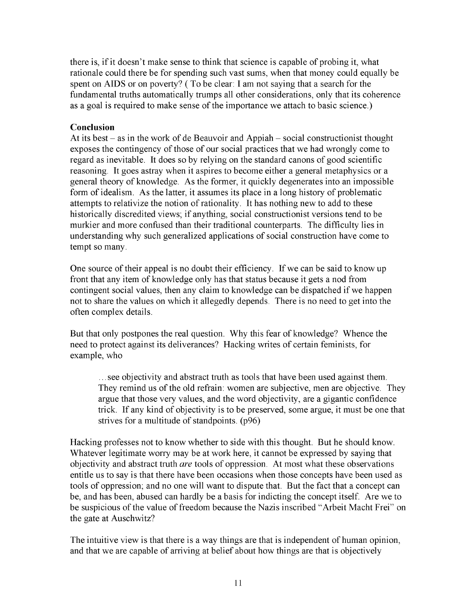there is, ifit doesn't make sense to think that science is capable of probing it, what rationale could there be for spending such vast sums, when that money could equally be spent on AIDS or on poverty? ( To be clear: I am not saying that a search for the fundamental truths automatically trumps all other considerations, only that its coherence as a goal is required to make sense of the importance we attach to basic science.)

# **Conclusion** Conclusion

At its best - as in the work of de Beauvoir and Appiah - social constructionist thought At its best – as in the work of de exposes the contingency of those of our social practices that we had wrongly come to regard as inevitable. It does so by relying on the standard canons of good scientific reasoning. It goes astray when it aspires to become either a general metaphysics or a general theory of knowledge. As the former, it quickly degenerates into an impossible general theory of knowledge. This the former, it quietify degenerates into an impossible form of idealism. As the latter, it assumes its place in a long history of problematic attempts to relativize the notion of rationality. It has nothing new to add to these historically discredited views; if anything, social constructionist versions tend to be murkier and more confused than their traditional counterparts. The difficulty lies in understanding why such generalized applications of social construction have come to tempt so many. At its best  $-$  as in the wo  $\log$ atu as inevitable. It does so b form of idealism. As the latt mstoricarly discredited views, if a atternativize why say the set

One source of their appeal is no doubt their efficiency. If we can be said to know up front that any item of knowledge only has that status because it gets a nod from contingent social values, then any claim to knowledge can be dispatched if we happen London Schargen solid variety, then any claim to knowledge can be disputeded if we happen often complex details. ville source of their appear is no not to share the values on which i

But that only postpones the real question. Why this fear of knowledge? Whence the need to protect against its deliverances? Hacking writes of certain feminists, for example, who

...see objectivity and abstract truth as tools that have been used against them. They remind us of the old refrain: women are subjective, men are objective. They argue that those very values, and the word objectivity, are a gigantic confidence trick. If any kind of objectivity is to be preserved, some argue, it must be one that strives for a multitude of standpoints.  $(p96)$ 

Hacking professes not to know whether to side with this thought. But he should know. Whatever legitimate worry may be at work here, it cannot be expressed by saying that objectivity and abstract truth *are* tools of oppression. At most what these observations entitle us to say is that there have been occasions when those concepts have been used as tools of oppression; and no one will want to dispute that. But the fact that a concept can be, and has been, abused can hardly be a basis for indicting the concept itself. Are we to be suspicious of the value of freedom because the Nazis inscribed "Arbeit Macht Frei" on the gate at Auschwitz?

The intuitive view is that there is a way things are that is independent of human opinion, and that we are capable of arriving at belief about how things are that is objectively